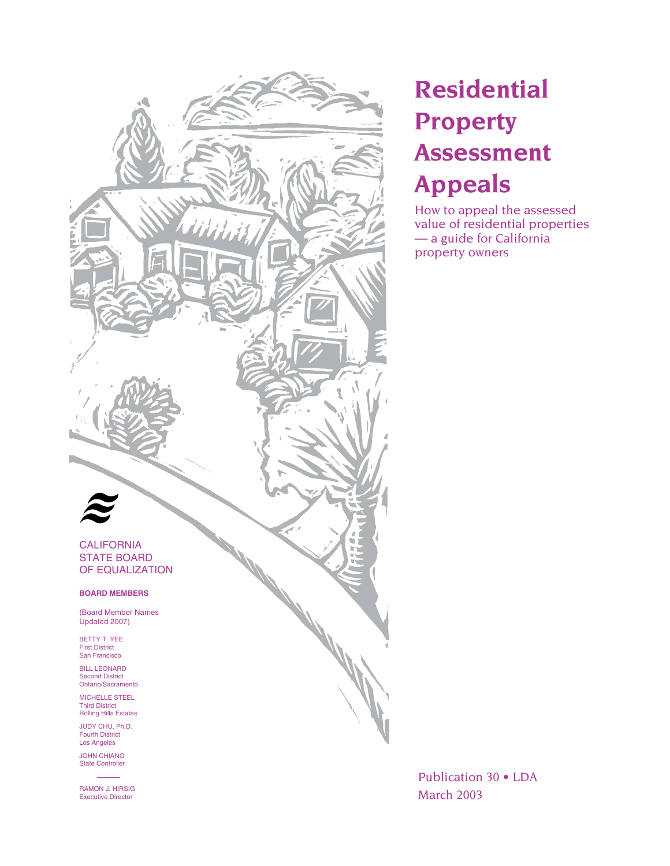

# **Residential Property Assessment Appeals**

How to appeal the assessed value of residential properties — a guide for California property owners

JOHN CHIANG State Controller

RAMON J. HIRSIG Executive Director

Publication 30 • LDA March 2003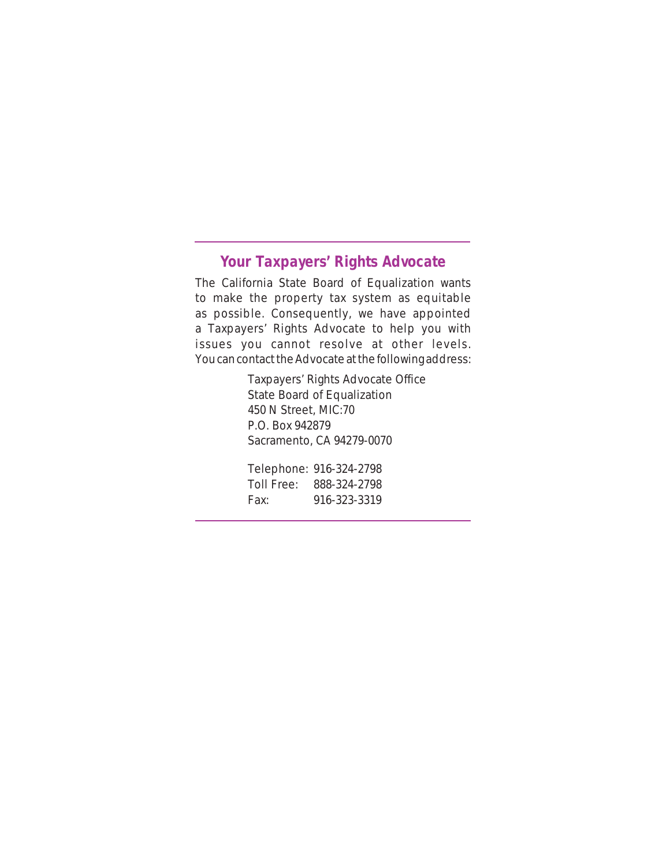### **Your Taxpayers' Rights Advocate**

The California State Board of Equalization wants to make the property tax system as equitable as possible. Consequently, we have appointed a Taxpayers' Rights Advocate to help you with issues you cannot resolve at other levels. You can contact the Advocate at the following address:

> Taxpayers' Rights Advocate Office State Board of Equalization 450 N Street, MIC:70 P.O. Box 942879 Sacramento, CA 94279-0070 Telephone: 916-324-2798 Toll Free: 888-324-2798 Fax: 916-323-3319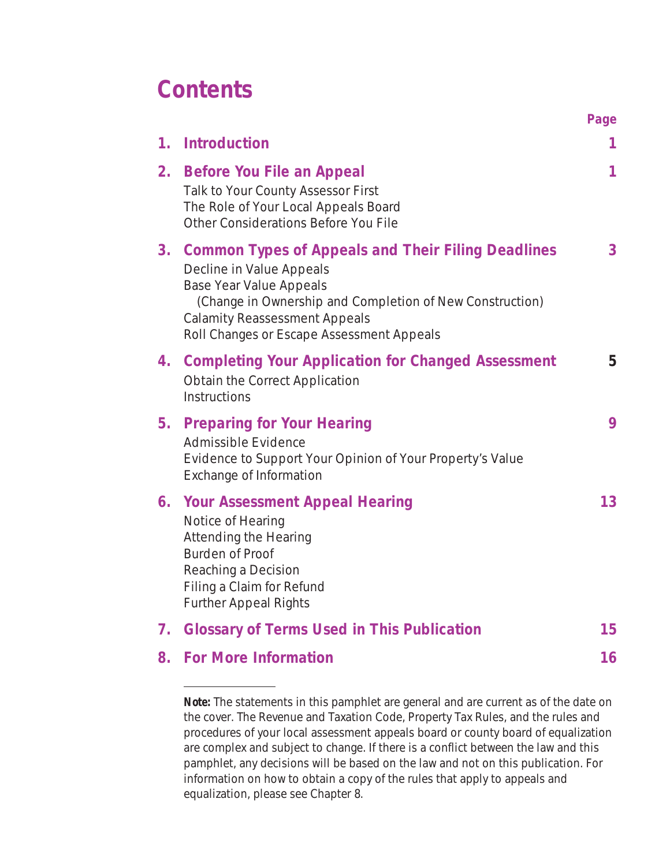## **Contents**

|    |                                                                                                                                                                                                                                                                                 | $-5$        |
|----|---------------------------------------------------------------------------------------------------------------------------------------------------------------------------------------------------------------------------------------------------------------------------------|-------------|
| 1. | <b>Introduction</b>                                                                                                                                                                                                                                                             | 1           |
| 2. | <b>Before You File an Appeal</b><br>Talk to Your County Assessor First<br>The Role of Your Local Appeals Board<br><b>Other Considerations Before You File</b>                                                                                                                   | 1           |
| 3. | <b>Common Types of Appeals and Their Filing Deadlines</b><br>Decline in Value Appeals<br><b>Base Year Value Appeals</b><br>(Change in Ownership and Completion of New Construction)<br><b>Calamity Reassessment Appeals</b><br><b>Roll Changes or Escape Assessment Appeals</b> | 3           |
| 4. | <b>Completing Your Application for Changed Assessment</b><br><b>Obtain the Correct Application</b><br><b>Instructions</b>                                                                                                                                                       | $\mathbf 5$ |
| 5. | <b>Preparing for Your Hearing</b><br><b>Admissible Evidence</b><br>Evidence to Support Your Opinion of Your Property's Value<br><b>Exchange of Information</b>                                                                                                                  | 9           |
| 6. | <b>Your Assessment Appeal Hearing</b><br><b>Notice of Hearing</b><br><b>Attending the Hearing</b><br><b>Burden of Proof</b><br><b>Reaching a Decision</b><br>Filing a Claim for Refund<br><b>Further Appeal Rights</b>                                                          | 13          |
| 7. | <b>Glossary of Terms Used in This Publication</b>                                                                                                                                                                                                                               | 15          |
| 8. | <b>For More Information</b>                                                                                                                                                                                                                                                     | 16          |

**Page** 

*Note:* The statements in this pamphlet are general and are current as of the date on the cover. The Revenue and Taxation Code, Property Tax Rules, and the rules and procedures of your local assessment appeals board or county board of equalization are complex and subject to change. If there is a conflict between the law and this pamphlet, any decisions will be based on the law and not on this publication. For information on how to obtain a copy of the rules that apply to appeals and equalization, please see Chapter 8.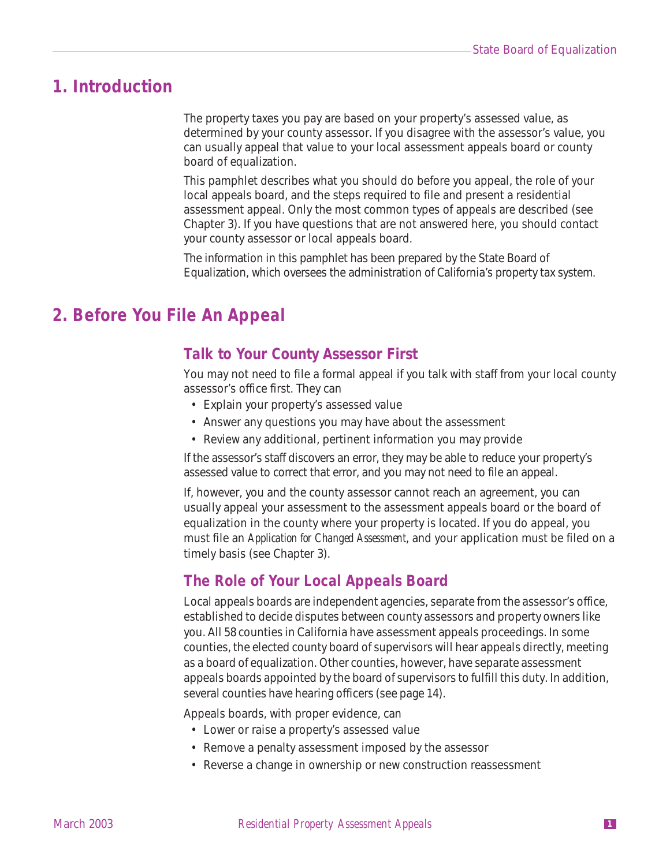### **1. Introduction**

The property taxes you pay are based on your property's assessed value, as determined by your county assessor. If you disagree with the assessor's value, you can usually appeal that value to your local assessment appeals board or county board of equalization.

This pamphlet describes what you should do before you appeal, the role of your local appeals board, and the steps required to file and present a residential assessment appeal. Only the most common types of appeals are described (see Chapter 3). If you have questions that are not answered here, you should contact your county assessor or local appeals board.

The information in this pamphlet has been prepared by the State Board of Equalization, which oversees the administration of California's property tax system.

### **2. Before You File An Appeal**

### **Talk to Your County Assessor First**

You may not need to file a formal appeal if you talk with staff from your local county assessor's office first. They can

- Explain your property's assessed value
- Answer any questions you may have about the assessment
- Review any additional, pertinent information you may provide

If the assessor's staff discovers an error, they may be able to reduce your property's assessed value to correct that error, and you may not need to file an appeal.

If, however, you and the county assessor cannot reach an agreement, you can usually appeal your assessment to the assessment appeals board or the board of equalization in the county where your property is located. If you do appeal, you must file an *Application for Changed Assessment*, and your application must be filed on a timely basis (see Chapter 3).

### **The Role of Your Local Appeals Board**

Local appeals boards are independent agencies, separate from the assessor's office, established to decide disputes between county assessors and property owners like you. All 58 counties in California have assessment appeals proceedings. In some counties, the elected county board of supervisors will hear appeals directly, meeting as a board of equalization. Other counties, however, have separate assessment appeals boards appointed by the board of supervisors to fulfill this duty. In addition, several counties have hearing officers (see page 14).

Appeals boards, with proper evidence, can

- Lower or raise a property's assessed value
- Remove a penalty assessment imposed by the assessor
- Reverse a change in ownership or new construction reassessment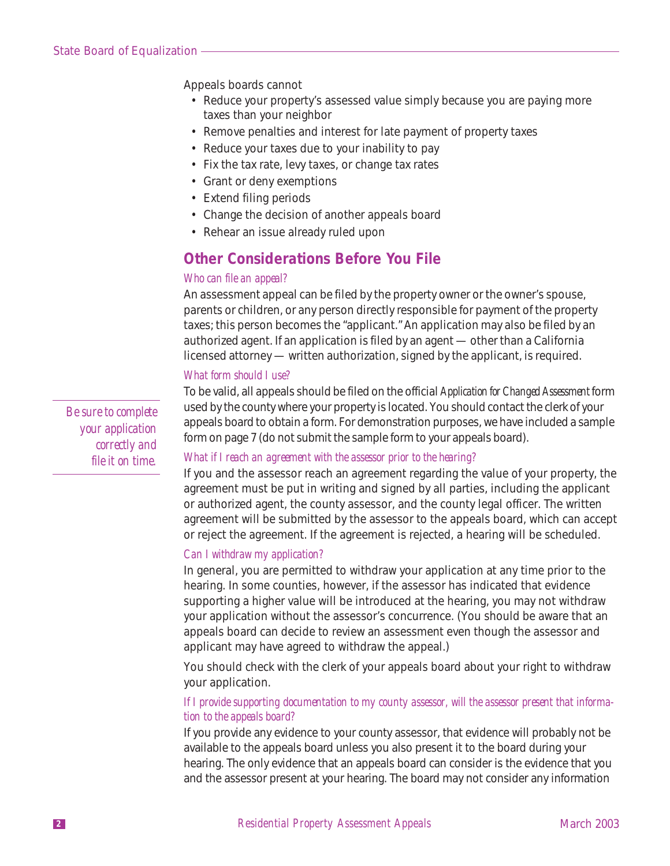Appeals boards cannot

- Reduce your property's assessed value simply because you are paying more taxes than your neighbor
- Remove penalties and interest for late payment of property taxes
- Reduce your taxes due to your inability to pay
- Fix the tax rate, levy taxes, or change tax rates
- Grant or deny exemptions
- Extend filing periods
- Change the decision of another appeals board
- Rehear an issue already ruled upon

### **Other Considerations Before You File**

#### *Who can file an appeal?*

An assessment appeal can be filed by the property owner or the owner's spouse, parents or children, or any person directly responsible for payment of the property taxes; this person becomes the "applicant." An application may also be filed by an authorized agent. If an application is filed by an agent — other than a California licensed attorney — written authorization, signed by the applicant, is required.

#### *What form should I use?*

To be valid, all appeals should be filed on the official *Application for Changed Assessment* form used by the county where your property is located. You should contact the clerk of your appeals board to obtain a form. For demonstration purposes, we have included a sample form on page 7 (do not submit the sample form to your appeals board).

#### *What if I reach an agreement with the assessor prior to the hearing?*

If you and the assessor reach an agreement regarding the value of your property, the agreement must be put in writing and signed by all parties, including the applicant or authorized agent, the county assessor, and the county legal officer. The written agreement will be submitted by the assessor to the appeals board, which can accept or reject the agreement. If the agreement is rejected, a hearing will be scheduled.

#### *Can I withdraw my application?*

In general, you are permitted to withdraw your application at any time prior to the hearing. In some counties, however, if the assessor has indicated that evidence supporting a higher value will be introduced at the hearing, you may not withdraw your application without the assessor's concurrence. (You should be aware that an appeals board can decide to review an assessment even though the assessor and applicant may have agreed to withdraw the appeal.)

You should check with the clerk of your appeals board about your right to withdraw your application.

#### *If I provide supporting documentation to my county assessor, will the assessor present that information to the appeals board?*

If you provide any evidence to your county assessor, that evidence will probably not be available to the appeals board unless you also present it to the board during your hearing. The only evidence that an appeals board can consider is the evidence that you and the assessor present at your hearing. The board may not consider any information

*Be sure to complete your application correctly and file it on time.*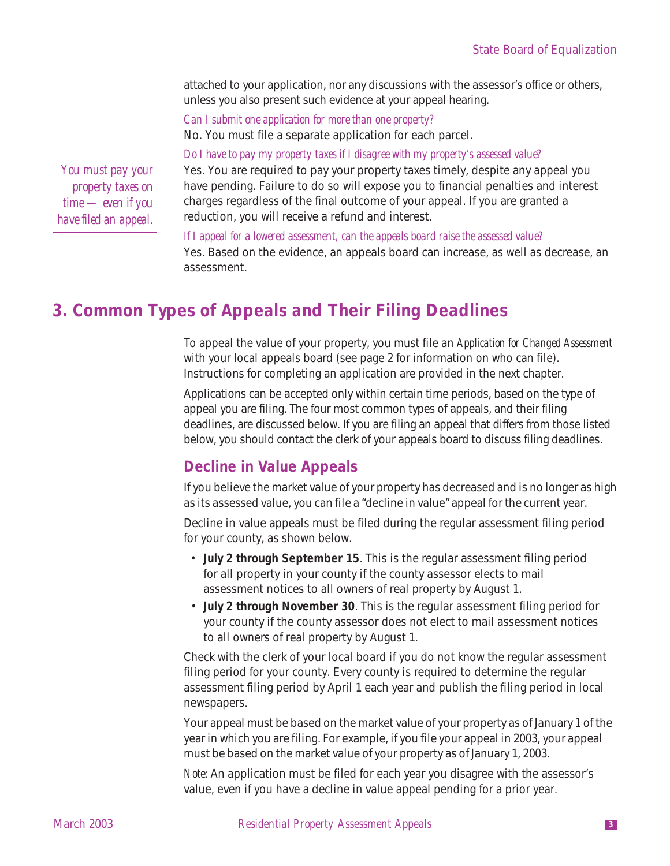attached to your application, nor any discussions with the assessor's office or others, unless you also present such evidence at your appeal hearing.

*Can I submit one application for more than one property?*  No. You must file a separate application for each parcel.

*Do I have to pay my property taxes if I disagree with my property's assessed value?* 

Yes. You are required to pay your property taxes timely, despite any appeal you have pending. Failure to do so will expose you to financial penalties and interest charges regardless of the final outcome of your appeal. If you are granted a reduction, you will receive a refund and interest.

*If I appeal for a lowered assessment, can the appeals board raise the assessed value?*  Yes. Based on the evidence, an appeals board can increase, as well as decrease, an assessment.

### **3. Common Types of Appeals and Their Filing Deadlines**

To appeal the value of your property, you must file an *Application for Changed Assessment*  with your local appeals board (see page 2 for information on who can file). Instructions for completing an application are provided in the next chapter.

Applications can be accepted only within certain time periods, based on the type of appeal you are filing. The four most common types of appeals, and their filing deadlines, are discussed below. If you are filing an appeal that differs from those listed below, you should contact the clerk of your appeals board to discuss filing deadlines.

### **Decline in Value Appeals**

If you believe the market value of your property has decreased and is no longer as high as its assessed value, you can file a "decline in value" appeal for the current year.

Decline in value appeals must be filed during the regular assessment filing period for your county, as shown below.

- **July 2 through September 15**. This is the regular assessment filing period for all property in your county if the county assessor elects to mail assessment notices to all owners of real property by August 1.
- **July 2 through November 30**. This is the regular assessment filing period for your county if the county assessor does not elect to mail assessment notices to all owners of real property by August 1.

Check with the clerk of your local board if you do not know the regular assessment filing period for your county. Every county is required to determine the regular assessment filing period by April 1 each year and publish the filing period in local newspapers.

Your appeal must be based on the market value of your property as of January 1 of the year in which you are filing. For example, if you file your appeal in 2003, your appeal must be based on the market value of your property as of January 1, 2003.

*Note*: An application must be filed for each year you disagree with the assessor's value, even if you have a decline in value appeal pending for a prior year.

*You must pay your property taxes on time — even if you have filed an appeal.*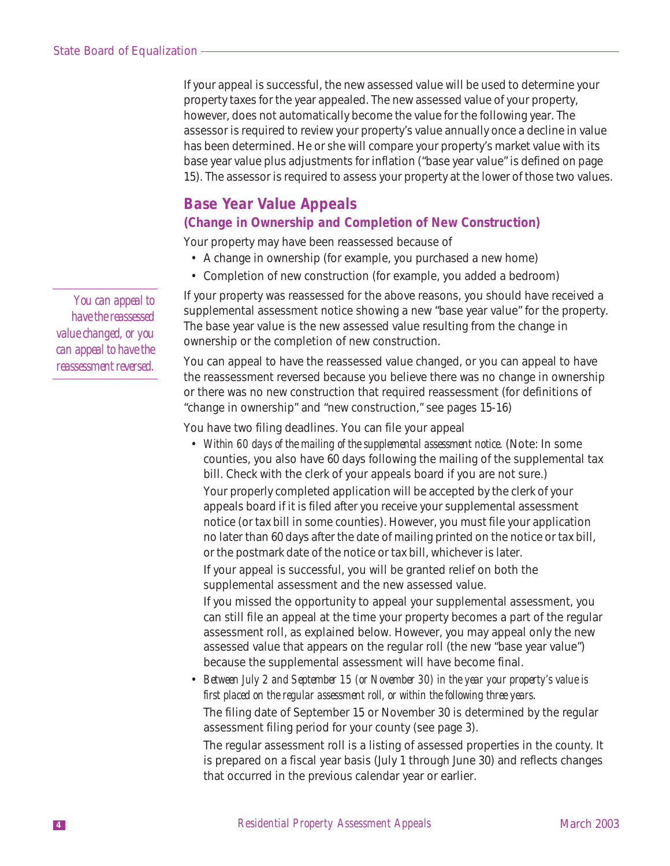If your appeal is successful, the new assessed value will be used to determine your property taxes for the year appealed. The new assessed value of your property, however, does not automatically become the value for the following year. The assessor is required to review your property's value annually once a decline in value has been determined. He or she will compare your property's market value with its base year value plus adjustments for inflation ("base year value" is defined on page 15). The assessor is required to assess your property at the lower of those two values.

## **Base Year Value Appeals**

### **(Change in Ownership and Completion of New Construction)**

Your property may have been reassessed because of

- A change in ownership (for example, you purchased a new home)
- Completion of new construction (for example, you added a bedroom)

If your property was reassessed for the above reasons, you should have received a supplemental assessment notice showing a new "base year value" for the property. The base year value is the new assessed value resulting from the change in ownership or the completion of new construction.

You can appeal to have the reassessed value changed, or you can appeal to have the reassessment reversed because you believe there was no change in ownership or there was no new construction that required reassessment (for definitions of "change in ownership" and "new construction," see pages 15-16)

You have two filing deadlines. You can file your appeal

• *Within 60 days of the mailing of the supplemental assessment notice*. (Note: In some counties, you also have 60 days following the mailing of the supplemental tax bill. Check with the clerk of your appeals board if you are not sure.) Your properly completed application will be accepted by the clerk of your appeals board if it is filed after you receive your supplemental assessment notice (or tax bill in some counties). However, you must file your application no later than 60 days after the date of mailing printed on the notice or tax bill, or the postmark date of the notice or tax bill, whichever is later.

If your appeal is successful, you will be granted relief on both the supplemental assessment and the new assessed value.

If you missed the opportunity to appeal your supplemental assessment, you can still file an appeal at the time your property becomes a part of the regular assessment roll, as explained below. However, you may appeal only the new assessed value that appears on the regular roll (the new "base year value") because the supplemental assessment will have become final.

• *Between July 2 and September 15 (or November 30) in the year your property's value is first placed on the regular assessment roll, or within the following three years*. The filing date of September 15 or November 30 is determined by the regular assessment filing period for your county (see page 3).

The regular assessment roll is a listing of assessed properties in the county. It is prepared on a fiscal year basis (July 1 through June 30) and reflects changes that occurred in the previous calendar year or earlier.

*You can appeal to have the reassessed value changed, or you can appeal to have the reassessment reversed.*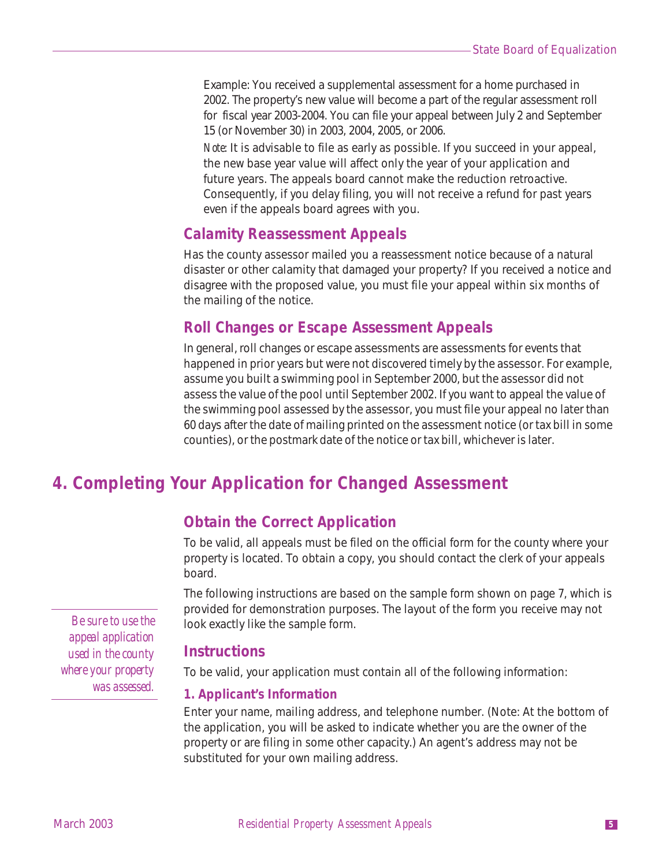Example: You received a supplemental assessment for a home purchased in 2002. The property's new value will become a part of the regular assessment roll for fiscal year 2003-2004. You can file your appeal between July 2 and September 15 (or November 30) in 2003, 2004, 2005, or 2006.

*Note*: It is advisable to file as early as possible. If you succeed in your appeal, the new base year value will affect only the year of your application and future years. The appeals board cannot make the reduction retroactive. Consequently, if you delay filing, you will not receive a refund for past years even if the appeals board agrees with you.

### **Calamity Reassessment Appeals**

Has the county assessor mailed you a reassessment notice because of a natural disaster or other calamity that damaged your property? If you received a notice and disagree with the proposed value, you must file your appeal within six months of the mailing of the notice.

### **Roll Changes or Escape Assessment Appeals**

In general, roll changes or escape assessments are assessments for events that happened in prior years but were not discovered timely by the assessor. For example, assume you built a swimming pool in September 2000, but the assessor did not assess the value of the pool until September 2002. If you want to appeal the value of the swimming pool assessed by the assessor, you must file your appeal no later than 60 days after the date of mailing printed on the assessment notice (or tax bill in some counties), or the postmark date of the notice or tax bill, whichever is later.

## **4. Completing Your Application for Changed Assessment**

### **Obtain the Correct Application**

To be valid, all appeals must be filed on the official form for the county where your property is located. To obtain a copy, you should contact the clerk of your appeals board.

The following instructions are based on the sample form shown on page 7, which is provided for demonstration purposes. The layout of the form you receive may not *Be sure to use the* look exactly like the sample form.

*where your property* To be valid, your application must contain all of the following information:

#### **1. Applicant's Information**

Enter your name, mailing address, and telephone number. (Note: At the bottom of the application, you will be asked to indicate whether you are the owner of the property or are filing in some other capacity.) An agent's address may not be substituted for your own mailing address.

*appeal application used in the county* **Instructions** *was assessed.*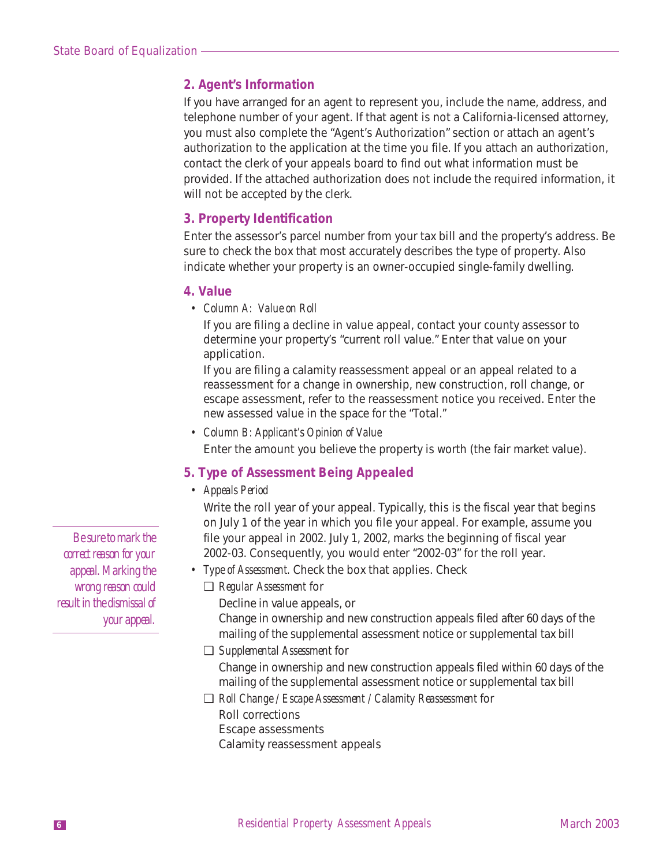#### **2. Agent's Information**

If you have arranged for an agent to represent you, include the name, address, and telephone number of your agent. If that agent is not a California-licensed attorney, you must also complete the "Agent's Authorization" section or attach an agent's authorization to the application at the time you file. If you attach an authorization, contact the clerk of your appeals board to find out what information must be provided. If the attached authorization does not include the required information, it will not be accepted by the clerk.

#### **3. Property Identification**

Enter the assessor's parcel number from your tax bill and the property's address. Be sure to check the box that most accurately describes the type of property. Also indicate whether your property is an owner-occupied single-family dwelling.

#### **4. Value**

*• Column A: Value on Roll* 

If you are filing a decline in value appeal, contact your county assessor to determine your property's "current roll value." Enter that value on your application.

If you are filing a calamity reassessment appeal or an appeal related to a reassessment for a change in ownership, new construction, roll change, or escape assessment, refer to the reassessment notice you received. Enter the new assessed value in the space for the "Total."

*• Column B: Applicant's Opinion of Value* 

Enter the amount you believe the property is worth (the fair market value).

#### **5. Type of Assessment Being Appealed**

*• Appeals Period* 

Write the roll year of your appeal. Typically, this is the fiscal year that begins on July 1 of the year in which you file your appeal. For example, assume you file your appeal in 2002. July 1, 2002, marks the beginning of fiscal year 2002-03. Consequently, you would enter "2002-03" for the roll year.

- *Type of Assessment.* Check the box that applies. Check
	- ❑ *Regular Assessment* for

Decline in value appeals, or Change in ownership and new construction appeals filed after 60 days of the mailing of the supplemental assessment notice or supplemental tax bill

❑ *Supplemental Assessment* for Change in ownership and new construction appeals filed within 60 days of the mailing of the supplemental assessment notice or supplemental tax bill

❑ *Roll Change / Escape Assessment / Calamity Reassessment* for Roll corrections Escape assessments

Calamity reassessment appeals

*Be sure to mark the correct reason for your appeal. Marking the wrong reason could result in the dismissal of your appeal.*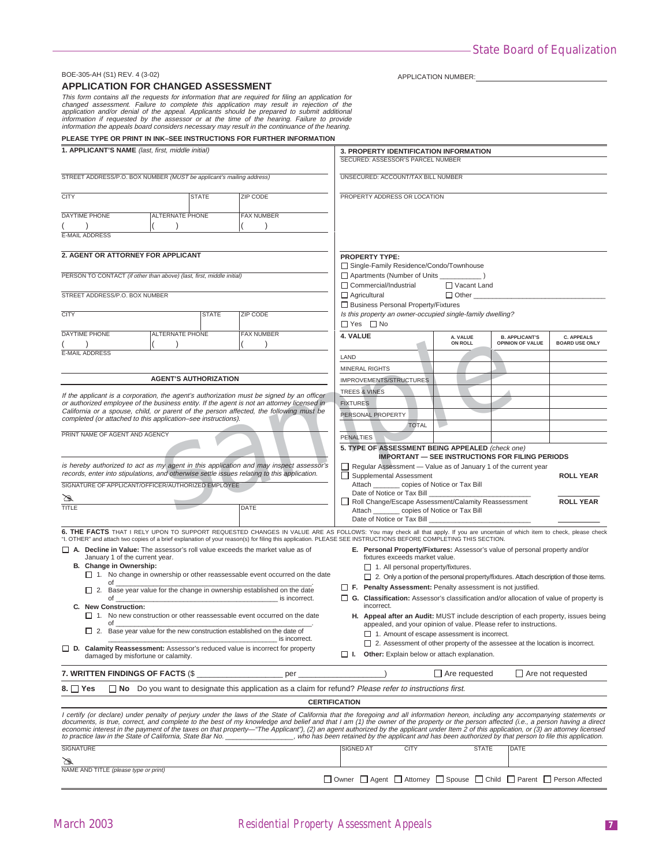#### BOE-305-AH (S1) REV. 4 (3-02) APPLICATION NUMBER:

#### **APPLICATION FOR CHANGED ASSESSMENT**

This form contains all the requests for information that are required for filing an application for changed assessment. Failure to complete this application may result in rejection of the application and/or denial of the a

| PLEASE TYPE OR PRINT IN INK-SEE INSTRUCTIONS FOR FURTHER INFORMATION                                                                                                                                                                                                                                                                                                                                                                                                                                                                                                                                                                                                                                                                                      |                                                                                                                                                                                      |                              |                                                                                                                           |                                                                                                |                                                                                                               |  |                     |                                                        |                                            |
|-----------------------------------------------------------------------------------------------------------------------------------------------------------------------------------------------------------------------------------------------------------------------------------------------------------------------------------------------------------------------------------------------------------------------------------------------------------------------------------------------------------------------------------------------------------------------------------------------------------------------------------------------------------------------------------------------------------------------------------------------------------|--------------------------------------------------------------------------------------------------------------------------------------------------------------------------------------|------------------------------|---------------------------------------------------------------------------------------------------------------------------|------------------------------------------------------------------------------------------------|---------------------------------------------------------------------------------------------------------------|--|---------------------|--------------------------------------------------------|--------------------------------------------|
| 1. APPLICANT'S NAME (last, first, middle initial)                                                                                                                                                                                                                                                                                                                                                                                                                                                                                                                                                                                                                                                                                                         |                                                                                                                                                                                      |                              |                                                                                                                           |                                                                                                | <b>3. PROPERTY IDENTIFICATION INFORMATION</b>                                                                 |  |                     |                                                        |                                            |
|                                                                                                                                                                                                                                                                                                                                                                                                                                                                                                                                                                                                                                                                                                                                                           |                                                                                                                                                                                      |                              |                                                                                                                           | SECURED: ASSESSOR'S PARCEL NUMBER                                                              |                                                                                                               |  |                     |                                                        |                                            |
| STREET ADDRESS/P.O. BOX NUMBER (MUST be applicant's mailing address)                                                                                                                                                                                                                                                                                                                                                                                                                                                                                                                                                                                                                                                                                      |                                                                                                                                                                                      |                              |                                                                                                                           | UNSECURED: ACCOUNT/TAX BILL NUMBER                                                             |                                                                                                               |  |                     |                                                        |                                            |
| <b>CITY</b>                                                                                                                                                                                                                                                                                                                                                                                                                                                                                                                                                                                                                                                                                                                                               | <b>STATE</b>                                                                                                                                                                         |                              | <b>ZIP CODE</b>                                                                                                           | PROPERTY ADDRESS OR LOCATION                                                                   |                                                                                                               |  |                     |                                                        |                                            |
| <b>DAYTIME PHONE</b>                                                                                                                                                                                                                                                                                                                                                                                                                                                                                                                                                                                                                                                                                                                                      | <b>ALTERNATE PHONE</b>                                                                                                                                                               |                              | <b>FAX NUMBER</b>                                                                                                         |                                                                                                |                                                                                                               |  |                     |                                                        |                                            |
| <b>E-MAIL ADDRESS</b>                                                                                                                                                                                                                                                                                                                                                                                                                                                                                                                                                                                                                                                                                                                                     |                                                                                                                                                                                      |                              |                                                                                                                           |                                                                                                |                                                                                                               |  |                     |                                                        |                                            |
| 2. AGENT OR ATTORNEY FOR APPLICANT                                                                                                                                                                                                                                                                                                                                                                                                                                                                                                                                                                                                                                                                                                                        |                                                                                                                                                                                      |                              |                                                                                                                           |                                                                                                | <b>PROPERTY TYPE:</b><br>□ Single-Family Residence/Condo/Townhouse                                            |  |                     |                                                        |                                            |
| PERSON TO CONTACT (if other than above) (last, first, middle initial)                                                                                                                                                                                                                                                                                                                                                                                                                                                                                                                                                                                                                                                                                     |                                                                                                                                                                                      |                              |                                                                                                                           | □ Vacant Land<br>□ Commercial/Industrial                                                       |                                                                                                               |  |                     |                                                        |                                            |
| STREET ADDRESS/P.O. BOX NUMBER                                                                                                                                                                                                                                                                                                                                                                                                                                                                                                                                                                                                                                                                                                                            |                                                                                                                                                                                      |                              |                                                                                                                           | $\Box$ Other $\Box$<br>$\Box$ Agricultural<br>□ Business Personal Property/Fixtures            |                                                                                                               |  |                     |                                                        |                                            |
| <b>CITY</b>                                                                                                                                                                                                                                                                                                                                                                                                                                                                                                                                                                                                                                                                                                                                               |                                                                                                                                                                                      | <b>STATE</b>                 | ZIP CODE                                                                                                                  |                                                                                                | Is this property an owner-occupied single-family dwelling?<br>$\Box$ Yes $\Box$ No                            |  |                     |                                                        |                                            |
| <b>DAYTIME PHONE</b>                                                                                                                                                                                                                                                                                                                                                                                                                                                                                                                                                                                                                                                                                                                                      | ALTERNATE PHONE                                                                                                                                                                      |                              | <b>FAX NUMBER</b>                                                                                                         | 4. VALUE                                                                                       |                                                                                                               |  | A. VALUE<br>ON ROLL | <b>B. APPLICANT'S</b><br>OPINION OF VALUE              | <b>C. APPEALS</b><br><b>BOARD USE ONLY</b> |
| <b>E-MAIL ADDRESS</b>                                                                                                                                                                                                                                                                                                                                                                                                                                                                                                                                                                                                                                                                                                                                     |                                                                                                                                                                                      |                              |                                                                                                                           |                                                                                                |                                                                                                               |  |                     |                                                        |                                            |
|                                                                                                                                                                                                                                                                                                                                                                                                                                                                                                                                                                                                                                                                                                                                                           |                                                                                                                                                                                      |                              |                                                                                                                           | LAND                                                                                           |                                                                                                               |  |                     |                                                        |                                            |
|                                                                                                                                                                                                                                                                                                                                                                                                                                                                                                                                                                                                                                                                                                                                                           |                                                                                                                                                                                      |                              |                                                                                                                           |                                                                                                | MINERAL RIGHTS                                                                                                |  |                     |                                                        |                                            |
|                                                                                                                                                                                                                                                                                                                                                                                                                                                                                                                                                                                                                                                                                                                                                           |                                                                                                                                                                                      | <b>AGENT'S AUTHORIZATION</b> |                                                                                                                           |                                                                                                | IMPROVEMENTS/STRUCTURES                                                                                       |  |                     |                                                        |                                            |
| If the applicant is a corporation, the agent's authorization must be signed by an officer                                                                                                                                                                                                                                                                                                                                                                                                                                                                                                                                                                                                                                                                 |                                                                                                                                                                                      |                              |                                                                                                                           |                                                                                                | TREES & VINES                                                                                                 |  |                     |                                                        |                                            |
|                                                                                                                                                                                                                                                                                                                                                                                                                                                                                                                                                                                                                                                                                                                                                           | or authorized employee of the business entity. If the agent is not an attorney licensed in<br>California or a spouse, child, or parent of the person affected, the following must be |                              |                                                                                                                           |                                                                                                | <b>FIXTURES</b>                                                                                               |  |                     |                                                        |                                            |
| completed (or attached to this application-see instructions).                                                                                                                                                                                                                                                                                                                                                                                                                                                                                                                                                                                                                                                                                             |                                                                                                                                                                                      |                              |                                                                                                                           |                                                                                                | PERSONAL PROPERTY                                                                                             |  |                     |                                                        |                                            |
|                                                                                                                                                                                                                                                                                                                                                                                                                                                                                                                                                                                                                                                                                                                                                           |                                                                                                                                                                                      |                              |                                                                                                                           |                                                                                                | <b>TOTAL</b>                                                                                                  |  |                     |                                                        |                                            |
| PRINT NAME OF AGENT AND AGENCY                                                                                                                                                                                                                                                                                                                                                                                                                                                                                                                                                                                                                                                                                                                            |                                                                                                                                                                                      |                              |                                                                                                                           |                                                                                                | <b>PENALTIES</b>                                                                                              |  |                     |                                                        |                                            |
|                                                                                                                                                                                                                                                                                                                                                                                                                                                                                                                                                                                                                                                                                                                                                           |                                                                                                                                                                                      |                              |                                                                                                                           |                                                                                                | 5. TYPE OF ASSESSMENT BEING APPEALED (check one)                                                              |  |                     |                                                        |                                            |
| is hereby authorized to act as my agent in this application and may inspect assessor's                                                                                                                                                                                                                                                                                                                                                                                                                                                                                                                                                                                                                                                                    |                                                                                                                                                                                      |                              |                                                                                                                           |                                                                                                | $\Box$ Regular Assessment $-$ Value as of January 1 of the current year                                       |  |                     | <b>IMPORTANT - SEE INSTRUCTIONS FOR FILING PERIODS</b> |                                            |
| records, enter into stipulations, and otherwise settle issues relating to this application.                                                                                                                                                                                                                                                                                                                                                                                                                                                                                                                                                                                                                                                               |                                                                                                                                                                                      |                              |                                                                                                                           |                                                                                                | Supplemental Assessment                                                                                       |  |                     |                                                        | <b>ROLL YEAR</b>                           |
| SIGNATURE OF APPLICANT/OFFICER/AUTHORIZED EMPLOYEE                                                                                                                                                                                                                                                                                                                                                                                                                                                                                                                                                                                                                                                                                                        |                                                                                                                                                                                      |                              |                                                                                                                           |                                                                                                | Attach __________ copies of Notice or Tax Bill                                                                |  |                     |                                                        |                                            |
| ☎                                                                                                                                                                                                                                                                                                                                                                                                                                                                                                                                                                                                                                                                                                                                                         |                                                                                                                                                                                      |                              |                                                                                                                           |                                                                                                | Date of Notice or Tax Bill<br>Roll Change/Escape Assessment/Calamity Reassessment                             |  |                     |                                                        | <b>ROLL YEAR</b>                           |
| TITLE                                                                                                                                                                                                                                                                                                                                                                                                                                                                                                                                                                                                                                                                                                                                                     |                                                                                                                                                                                      |                              | DATE                                                                                                                      |                                                                                                | Attach __________ copies of Notice or Tax Bill                                                                |  |                     |                                                        |                                            |
|                                                                                                                                                                                                                                                                                                                                                                                                                                                                                                                                                                                                                                                                                                                                                           |                                                                                                                                                                                      |                              |                                                                                                                           |                                                                                                | Date of Notice or Tax Bill                                                                                    |  |                     |                                                        |                                            |
| 6. THE FACTS THAT I RELY UPON TO SUPPORT REQUESTED CHANGES IN VALUE ARE AS FOLLOWS: You may check all that apply. If you are uncertain of which item to check, please check<br>"I. OTHER" and attach two copies of a brief explanation of your reason(s) for filing this application. PLEASE SEE INSTRUCTIONS BEFORE COMPLETING THIS SECTION.                                                                                                                                                                                                                                                                                                                                                                                                             |                                                                                                                                                                                      |                              |                                                                                                                           |                                                                                                |                                                                                                               |  |                     |                                                        |                                            |
| $\Box$ A. Decline in Value: The assessor's roll value exceeds the market value as of<br>January 1 of the current year.                                                                                                                                                                                                                                                                                                                                                                                                                                                                                                                                                                                                                                    |                                                                                                                                                                                      |                              |                                                                                                                           |                                                                                                | E. Personal Property/Fixtures: Assessor's value of personal property and/or<br>fixtures exceeds market value. |  |                     |                                                        |                                            |
| B. Change in Ownership:                                                                                                                                                                                                                                                                                                                                                                                                                                                                                                                                                                                                                                                                                                                                   |                                                                                                                                                                                      |                              | $\Box$ 1. All personal property/fixtures.                                                                                 |                                                                                                |                                                                                                               |  |                     |                                                        |                                            |
| $\Box$ 1. No change in ownership or other reassessable event occurred on the date                                                                                                                                                                                                                                                                                                                                                                                                                                                                                                                                                                                                                                                                         |                                                                                                                                                                                      |                              |                                                                                                                           | $\Box$ 2. Only a portion of the personal property/fixtures. Attach description of those items. |                                                                                                               |  |                     |                                                        |                                            |
| of<br>□ 2. Base year value for the change in ownership established on the date                                                                                                                                                                                                                                                                                                                                                                                                                                                                                                                                                                                                                                                                            |                                                                                                                                                                                      |                              | $\Box$ F. Penalty Assessment: Penalty assessment is not justified.                                                        |                                                                                                |                                                                                                               |  |                     |                                                        |                                            |
| is incorrect.<br>of                                                                                                                                                                                                                                                                                                                                                                                                                                                                                                                                                                                                                                                                                                                                       |                                                                                                                                                                                      |                              |                                                                                                                           |                                                                                                | □ G. Classification: Assessor's classification and/or allocation of value of property is                      |  |                     |                                                        |                                            |
| C. New Construction:<br>$\Box$ 1. No new construction or other reassessable event occurred on the date                                                                                                                                                                                                                                                                                                                                                                                                                                                                                                                                                                                                                                                    |                                                                                                                                                                                      |                              |                                                                                                                           |                                                                                                | incorrect.<br>H. Appeal after an Audit: MUST include description of each property, issues being               |  |                     |                                                        |                                            |
| ot<br>$\Box$ 2. Base year value for the new construction established on the date of                                                                                                                                                                                                                                                                                                                                                                                                                                                                                                                                                                                                                                                                       |                                                                                                                                                                                      |                              | appealed, and your opinion of value. Please refer to instructions.<br>$\Box$ 1. Amount of escape assessment is incorrect. |                                                                                                |                                                                                                               |  |                     |                                                        |                                            |
| is incorrect.<br>$\Box$ 2. Assessment of other property of the assessee at the location is incorrect.<br>D. Calamity Reassessment: Assessor's reduced value is incorrect for property<br>$\Box$ I. Other: Explain below or attach explanation.<br>damaged by misfortune or calamity.                                                                                                                                                                                                                                                                                                                                                                                                                                                                      |                                                                                                                                                                                      |                              |                                                                                                                           |                                                                                                |                                                                                                               |  |                     |                                                        |                                            |
| 7. WRITTEN FINDINGS OF FACTS (\$<br>$\Box$ Are requested<br>$\Box$ Are not requested<br>$per_$                                                                                                                                                                                                                                                                                                                                                                                                                                                                                                                                                                                                                                                            |                                                                                                                                                                                      |                              |                                                                                                                           |                                                                                                |                                                                                                               |  |                     |                                                        |                                            |
| $\Box$ No Do you want to designate this application as a claim for refund? Please refer to instructions first.<br>8. $\Box$ Yes                                                                                                                                                                                                                                                                                                                                                                                                                                                                                                                                                                                                                           |                                                                                                                                                                                      |                              |                                                                                                                           |                                                                                                |                                                                                                               |  |                     |                                                        |                                            |
| <b>CERTIFICATION</b>                                                                                                                                                                                                                                                                                                                                                                                                                                                                                                                                                                                                                                                                                                                                      |                                                                                                                                                                                      |                              |                                                                                                                           |                                                                                                |                                                                                                               |  |                     |                                                        |                                            |
| I certify (or declare) under penalty of perjury under the laws of the State of California that the foregoing and all information hereon, including any accompanying statements or<br>documents, is true, correct, and complete to the best of my knowledge and belief and that I am (1) the owner of the property or the person affected (i.e., a person having a direct<br>economic interest in the payment of the taxes on that property—"The Applicant"), (2) an agent authorized by the applicant under Item 2 of this application, or (3) an attorney licensed<br>to practice law in the State of California, State Bar No. _______________, who has been retained by the applicant and has been authorized by that person to file this application. |                                                                                                                                                                                      |                              |                                                                                                                           |                                                                                                |                                                                                                               |  |                     |                                                        |                                            |
| <b>SIGNATURE</b>                                                                                                                                                                                                                                                                                                                                                                                                                                                                                                                                                                                                                                                                                                                                          |                                                                                                                                                                                      |                              |                                                                                                                           |                                                                                                | SIGNED AT CITY                                                                                                |  |                     | STATE DATE                                             |                                            |

NAME AND TITLE (please type or print)

⊠

Owner | Agent | Attorney | Spouse | Child | Parent | Person Affected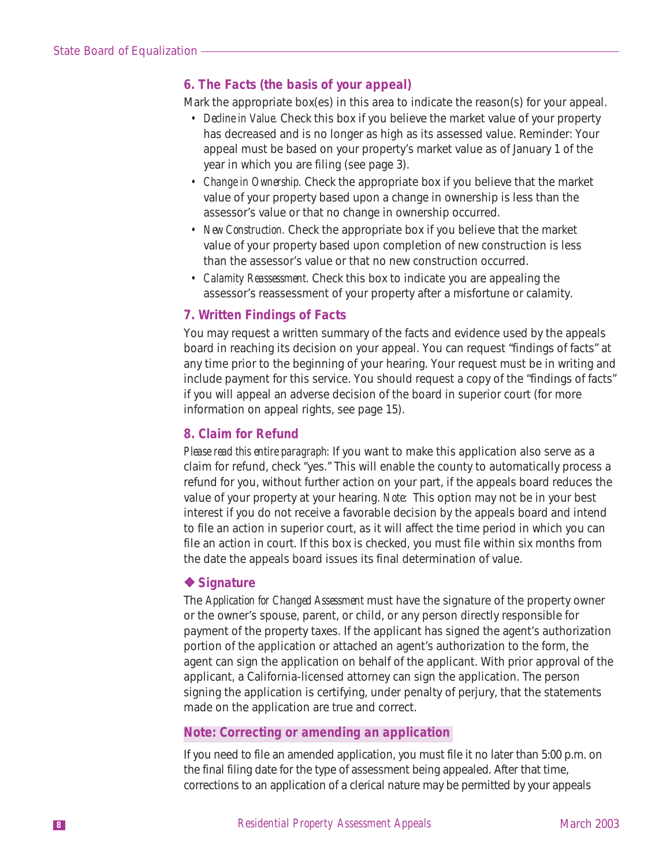#### **6. The Facts (the basis of your appeal)**

Mark the appropriate box(es) in this area to indicate the reason(s) for your appeal.

- *Decline in Value.* Check this box if you believe the market value of your property has decreased and is no longer as high as its assessed value. Reminder: Your appeal must be based on your property's market value as of January 1 of the year in which you are filing (see page 3).
- *Change in Ownership.* Check the appropriate box if you believe that the market value of your property based upon a change in ownership is less than the assessor's value or that no change in ownership occurred.
- *New Construction.* Check the appropriate box if you believe that the market value of your property based upon completion of new construction is less than the assessor's value or that no new construction occurred.
- *Calamity Reassessment.* Check this box to indicate you are appealing the assessor's reassessment of your property after a misfortune or calamity.

#### **7. Written Findings of Facts**

You may request a written summary of the facts and evidence used by the appeals board in reaching its decision on your appeal. You can request "findings of facts" at any time prior to the beginning of your hearing. Your request must be in writing and include payment for this service. You should request a copy of the "findings of facts" if you will appeal an adverse decision of the board in superior court (for more information on appeal rights, see page 15).

#### **8. Claim for Refund**

*Please read this entire paragraph:* If you want to make this application also serve as a claim for refund, check "yes." This will enable the county to automatically process a refund for you, without further action on your part, if the appeals board reduces the value of your property at your hearing. *Note*: This option may not be in your best interest if you do not receive a favorable decision by the appeals board and intend to file an action in superior court, as it will affect the time period in which you can file an action in court. If this box is checked, you must file within six months from the date the appeals board issues its final determination of value.

#### ❖ **Signature**

The *Application for Changed Assessment* must have the signature of the property owner or the owner's spouse, parent, or child, or any person directly responsible for payment of the property taxes. If the applicant has signed the agent's authorization portion of the application or attached an agent's authorization to the form, the agent can sign the application on behalf of the applicant. With prior approval of the applicant, a California-licensed attorney can sign the application. The person signing the application is certifying, under penalty of perjury, that the statements made on the application are true and correct.

#### **Note: Correcting or amending an application**

If you need to file an amended application, you must file it no later than 5:00 p.m. on the final filing date for the type of assessment being appealed. After that time, corrections to an application of a clerical nature may be permitted by your appeals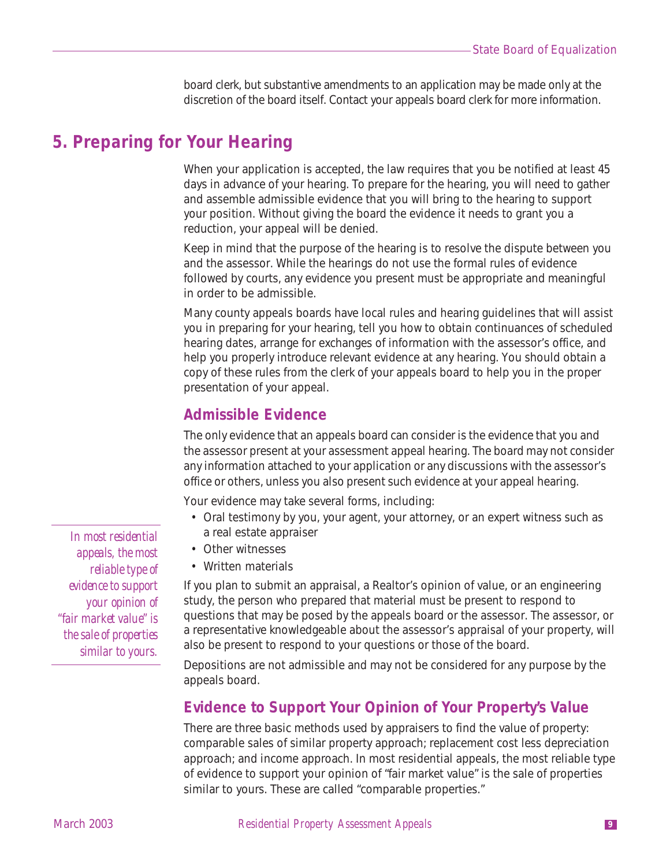board clerk, but substantive amendments to an application may be made only at the discretion of the board itself. Contact your appeals board clerk for more information.

### **5. Preparing for Your Hearing**

When your application is accepted, the law requires that you be notified at least 45 days in advance of your hearing. To prepare for the hearing, you will need to gather and assemble admissible evidence that you will bring to the hearing to support your position. Without giving the board the evidence it needs to grant you a reduction, your appeal will be denied.

Keep in mind that the purpose of the hearing is to resolve the dispute between you and the assessor. While the hearings do not use the formal rules of evidence followed by courts, any evidence you present must be appropriate and meaningful in order to be admissible.

Many county appeals boards have local rules and hearing guidelines that will assist you in preparing for your hearing, tell you how to obtain continuances of scheduled hearing dates, arrange for exchanges of information with the assessor's office, and help you properly introduce relevant evidence at any hearing. You should obtain a copy of these rules from the clerk of your appeals board to help you in the proper presentation of your appeal.

### **Admissible Evidence**

The only evidence that an appeals board can consider is the evidence that you and the assessor present at your assessment appeal hearing. The board may not consider any information attached to your application or any discussions with the assessor's office or others, unless you also present such evidence at your appeal hearing.

Your evidence may take several forms, including:

- Oral testimony by you, your agent, your attorney, or an expert witness such as a real estate appraiser
- Other witnesses
- Written materials

If you plan to submit an appraisal, a Realtor's opinion of value, or an engineering study, the person who prepared that material must be present to respond to questions that may be posed by the appeals board or the assessor. The assessor, or a representative knowledgeable about the assessor's appraisal of your property, will also be present to respond to your questions or those of the board.

Depositions are not admissible and may not be considered for any purpose by the appeals board.

#### **Evidence to Support Your Opinion of Your Property's Value**

There are three basic methods used by appraisers to find the value of property: comparable sales of similar property approach; replacement cost less depreciation approach; and income approach. In most residential appeals, the most reliable type of evidence to support your opinion of "fair market value" is the sale of properties similar to yours. These are called "comparable properties."

*In most residential appeals, the most reliable type of evidence to support your opinion of "fair market value" is the sale of properties similar to yours.*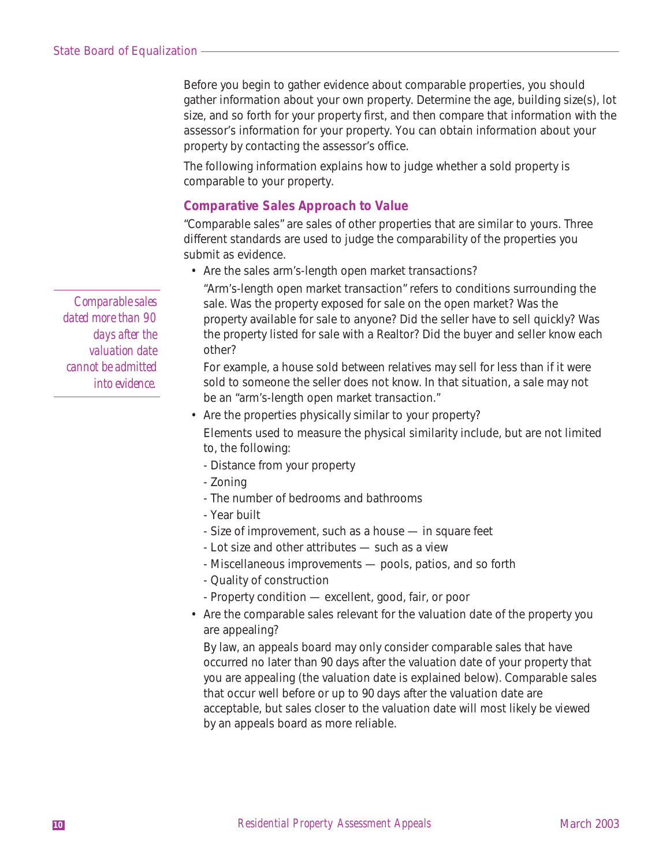Before you begin to gather evidence about comparable properties, you should gather information about your own property. Determine the age, building size(s), lot size, and so forth for your property first, and then compare that information with the assessor's information for your property. You can obtain information about your property by contacting the assessor's office.

The following information explains how to judge whether a sold property is comparable to your property.

#### **Comparative Sales Approach to Value**

"Comparable sales" are sales of other properties that are similar to yours. Three different standards are used to judge the comparability of the properties you submit as evidence.

• Are the sales arm's-length open market transactions?

"Arm's-length open market transaction" refers to conditions surrounding the sale. Was the property exposed for sale on the open market? Was the property available for sale to anyone? Did the seller have to sell quickly? Was the property listed for sale with a Realtor? Did the buyer and seller know each other?

For example, a house sold between relatives may sell for less than if it were sold to someone the seller does not know. In that situation, a sale may not be an "arm's-length open market transaction."

• Are the properties physically similar to your property?

Elements used to measure the physical similarity include, but are not limited to, the following:

- Distance from your property
- Zoning
- The number of bedrooms and bathrooms
- Year built
- Size of improvement, such as a house in square feet
- Lot size and other attributes such as a view
- Miscellaneous improvements pools, patios, and so forth
- Quality of construction
- Property condition excellent, good, fair, or poor
- Are the comparable sales relevant for the valuation date of the property you are appealing?

By law, an appeals board may only consider comparable sales that have occurred no later than 90 days after the valuation date of your property that you are appealing (the valuation date is explained below). Comparable sales that occur well before or up to 90 days after the valuation date are acceptable, but sales closer to the valuation date will most likely be viewed by an appeals board as more reliable.

*Comparable sales dated more than 90 days after the valuation date cannot be admitted into evidence.*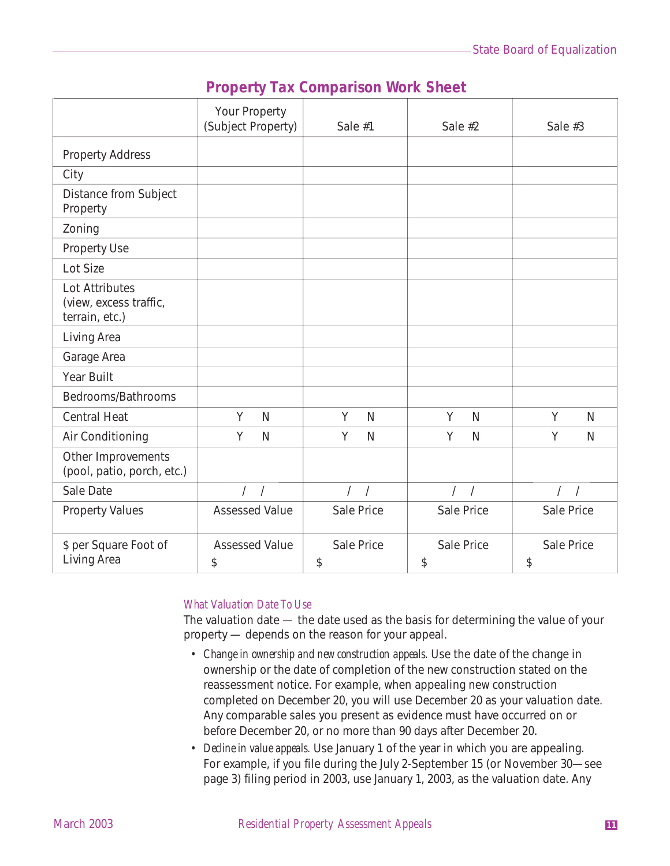|                                                            | Your Property<br>(Subject Property) | Sale #1          | Sale #2                  | Sale #3                  |
|------------------------------------------------------------|-------------------------------------|------------------|--------------------------|--------------------------|
| <b>Property Address</b>                                    |                                     |                  |                          |                          |
| City                                                       |                                     |                  |                          |                          |
| Distance from Subject<br>Property                          |                                     |                  |                          |                          |
| Zoning                                                     |                                     |                  |                          |                          |
| Property Use                                               |                                     |                  |                          |                          |
| Lot Size                                                   |                                     |                  |                          |                          |
| Lot Attributes<br>(view, excess traffic,<br>terrain, etc.) |                                     |                  |                          |                          |
| Living Area                                                |                                     |                  |                          |                          |
| Garage Area                                                |                                     |                  |                          |                          |
| Year Built                                                 |                                     |                  |                          |                          |
| Bedrooms/Bathrooms                                         |                                     |                  |                          |                          |
| <b>Central Heat</b>                                        | Y<br>N                              | Y<br>N           | Y<br>N                   | Y<br>N                   |
| Air Conditioning                                           | Y<br>$\mathbf N$                    | Y<br>$\mathbf N$ | Y<br>$\mathbf N$         | Y<br>$\mathbf N$         |
| Other Improvements<br>(pool, patio, porch, etc.)           |                                     |                  |                          |                          |
| Sale Date                                                  | $\sqrt{ }$                          | $/$ /            | $\sqrt{2}$<br>$\sqrt{ }$ | $\sqrt{2}$<br>$\sqrt{ }$ |
| <b>Property Values</b>                                     | <b>Assessed Value</b>               | Sale Price       | Sale Price               | Sale Price               |
| \$ per Square Foot of<br>Living Area                       | <b>Assessed Value</b><br>\$         | Sale Price<br>\$ | Sale Price<br>\$         | Sale Price<br>\$         |

### **Property Tax Comparison Work Sheet**

#### *What Valuation Date To Use*

The valuation date — the date used as the basis for determining the value of your property — depends on the reason for your appeal.

- *Change in ownership and new construction appeals.* Use the date of the change in ownership or the date of completion of the new construction stated on the reassessment notice. For example, when appealing new construction completed on December 20, you will use December 20 as your valuation date. Any comparable sales you present as evidence must have occurred on or before December 20, or no more than 90 days after December 20.
- *Decline in value appeals.* Use January 1 of the year in which you are appealing. For example, if you file during the July 2-September 15 (or November 30—see page 3) filing period in 2003, use January 1, 2003, as the valuation date. Any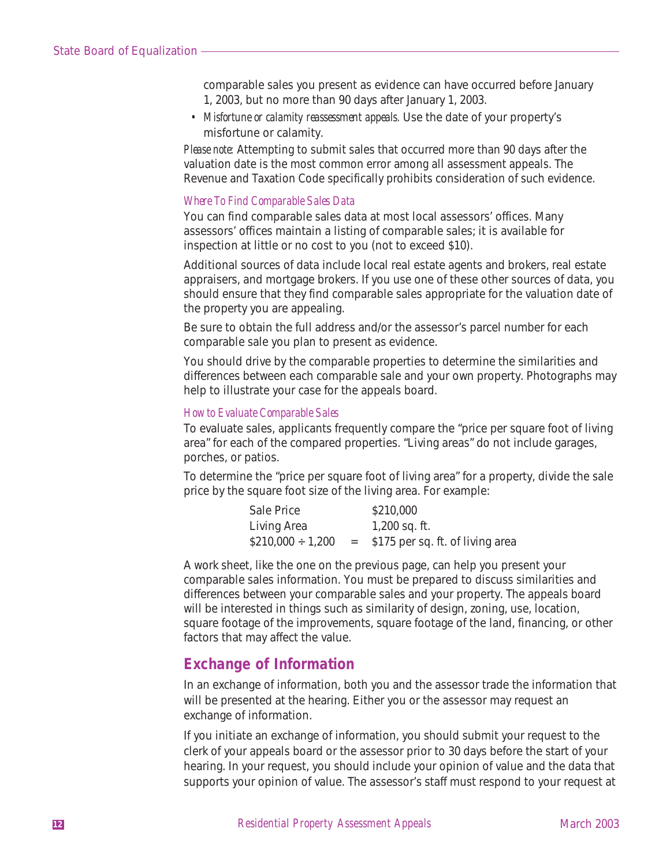comparable sales you present as evidence can have occurred before January 1, 2003, but no more than 90 days after January 1, 2003.

*• Misfortune or calamity reassessment appeals.* Use the date of your property's misfortune or calamity.

*Please note:* Attempting to submit sales that occurred more than 90 days after the valuation date is the most common error among all assessment appeals. The Revenue and Taxation Code specifically prohibits consideration of such evidence.

#### *Where To Find Comparable Sales Data*

You can find comparable sales data at most local assessors' offices. Many assessors' offices maintain a listing of comparable sales; it is available for inspection at little or no cost to you (not to exceed \$10).

Additional sources of data include local real estate agents and brokers, real estate appraisers, and mortgage brokers. If you use one of these other sources of data, you should ensure that they find comparable sales appropriate for the valuation date of the property you are appealing.

Be sure to obtain the full address and/or the assessor's parcel number for each comparable sale you plan to present as evidence.

You should drive by the comparable properties to determine the similarities and differences between each comparable sale and your own property. Photographs may help to illustrate your case for the appeals board.

#### *How to Evaluate Comparable Sales*

To evaluate sales, applicants frequently compare the "price per square foot of living area" for each of the compared properties. "Living areas" do not include garages, porches, or patios.

To determine the "price per square foot of living area" for a property, divide the sale price by the square foot size of the living area. For example:

| Sale Price            | \$210,000                            |
|-----------------------|--------------------------------------|
| Living Area           | $1,200$ sq. ft.                      |
| $$210,000 \div 1,200$ | $=$ \$175 per sq. ft. of living area |

A work sheet, like the one on the previous page, can help you present your comparable sales information. You must be prepared to discuss similarities and differences between your comparable sales and your property. The appeals board will be interested in things such as similarity of design, zoning, use, location, square footage of the improvements, square footage of the land, financing, or other factors that may affect the value.

### **Exchange of Information**

In an exchange of information, both you and the assessor trade the information that will be presented at the hearing. Either you or the assessor may request an exchange of information.

If you initiate an exchange of information, you should submit your request to the clerk of your appeals board or the assessor prior to 30 days before the start of your hearing. In your request, you should include your opinion of value and the data that supports your opinion of value. The assessor's staff must respond to your request at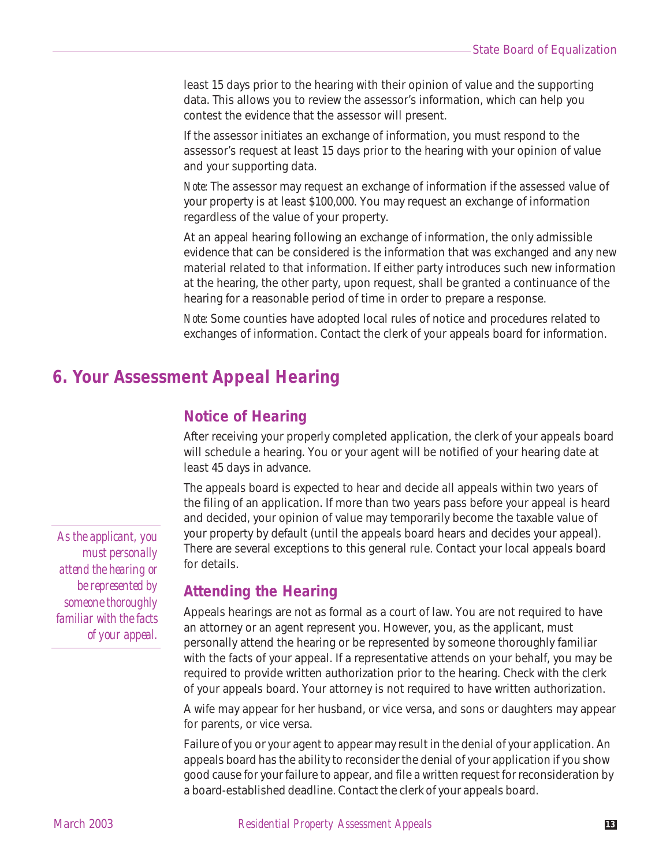least 15 days prior to the hearing with their opinion of value and the supporting data. This allows you to review the assessor's information, which can help you contest the evidence that the assessor will present.

If the assessor initiates an exchange of information, you must respond to the assessor's request at least 15 days prior to the hearing with your opinion of value and your supporting data.

*Note*: The assessor may request an exchange of information if the assessed value of your property is at least \$100,000. You may request an exchange of information regardless of the value of your property.

At an appeal hearing following an exchange of information, the only admissible evidence that can be considered is the information that was exchanged and any new material related to that information. If either party introduces such new information at the hearing, the other party, upon request, shall be granted a continuance of the hearing for a reasonable period of time in order to prepare a response.

*Note*: Some counties have adopted local rules of notice and procedures related to exchanges of information. Contact the clerk of your appeals board for information.

### **6. Your Assessment Appeal Hearing**

### **Notice of Hearing**

After receiving your properly completed application, the clerk of your appeals board will schedule a hearing. You or your agent will be notified of your hearing date at least 45 days in advance.

The appeals board is expected to hear and decide all appeals within two years of the filing of an application. If more than two years pass before your appeal is heard and decided, your opinion of value may temporarily become the taxable value of your property by default (until the appeals board hears and decides your appeal). There are several exceptions to this general rule. Contact your local appeals board for details.

### **Attending the Hearing**

Appeals hearings are not as formal as a court of law. You are not required to have an attorney or an agent represent you. However, you, as the applicant, must personally attend the hearing or be represented by someone thoroughly familiar with the facts of your appeal. If a representative attends on your behalf, you may be required to provide written authorization prior to the hearing. Check with the clerk of your appeals board. Your attorney is not required to have written authorization.

A wife may appear for her husband, or vice versa, and sons or daughters may appear for parents, or vice versa.

Failure of you or your agent to appear may result in the denial of your application. An appeals board has the ability to reconsider the denial of your application if you show good cause for your failure to appear, and file a written request for reconsideration by a board-established deadline. Contact the clerk of your appeals board.

*As the applicant, you must personally attend the hearing or be represented by someone thoroughly familiar with the facts of your appeal.*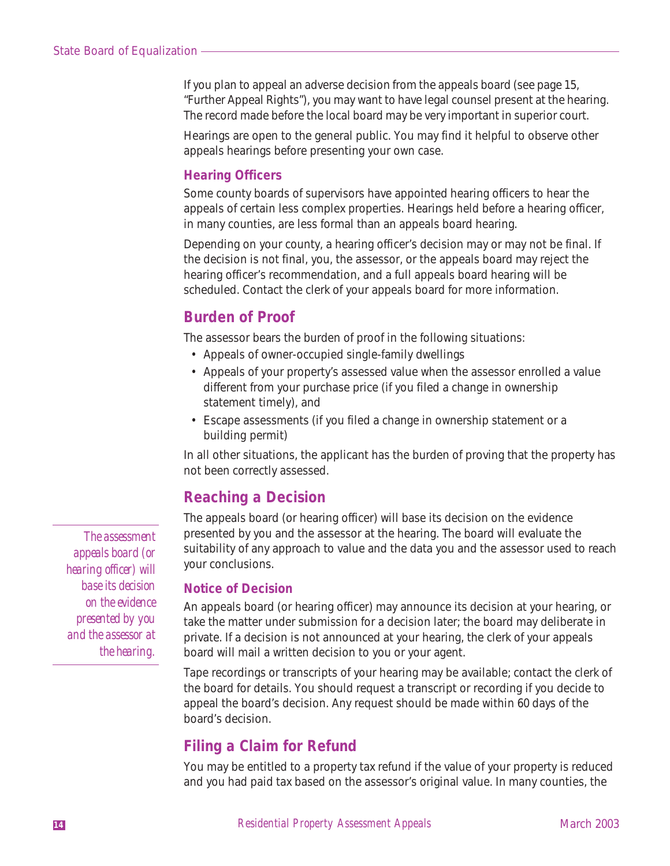#### State Board of Equalization

If you plan to appeal an adverse decision from the appeals board (see page 15, "Further Appeal Rights"), you may want to have legal counsel present at the hearing. The record made before the local board may be very important in superior court.

Hearings are open to the general public. You may find it helpful to observe other appeals hearings before presenting your own case.

#### **Hearing Officers**

Some county boards of supervisors have appointed hearing officers to hear the appeals of certain less complex properties. Hearings held before a hearing officer, in many counties, are less formal than an appeals board hearing.

Depending on your county, a hearing officer's decision may or may not be final. If the decision is not final, you, the assessor, or the appeals board may reject the hearing officer's recommendation, and a full appeals board hearing will be scheduled. Contact the clerk of your appeals board for more information.

### **Burden of Proof**

The assessor bears the burden of proof in the following situations:

- Appeals of owner-occupied single-family dwellings
- Appeals of your property's assessed value when the assessor enrolled a value different from your purchase price (if you filed a change in ownership statement timely), and
- Escape assessments (if you filed a change in ownership statement or a building permit)

In all other situations, the applicant has the burden of proving that the property has not been correctly assessed.

### **Reaching a Decision**

The appeals board (or hearing officer) will base its decision on the evidence presented by you and the assessor at the hearing. The board will evaluate the suitability of any approach to value and the data you and the assessor used to reach your conclusions.

#### **Notice of Decision**

An appeals board (or hearing officer) may announce its decision at your hearing, or take the matter under submission for a decision later; the board may deliberate in private. If a decision is not announced at your hearing, the clerk of your appeals board will mail a written decision to you or your agent.

Tape recordings or transcripts of your hearing may be available; contact the clerk of the board for details. You should request a transcript or recording if you decide to appeal the board's decision. Any request should be made within 60 days of the board's decision.

### **Filing a Claim for Refund**

You may be entitled to a property tax refund if the value of your property is reduced and you had paid tax based on the assessor's original value. In many counties, the

*The assessment appeals board (or hearing officer) will base its decision on the evidence presented by you and the assessor at the hearing.*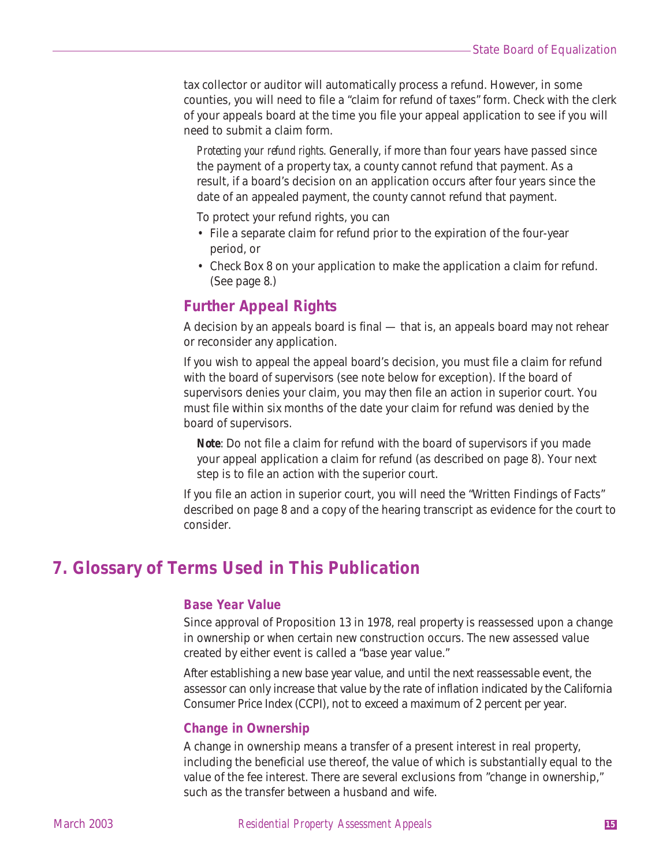tax collector or auditor will automatically process a refund. However, in some counties, you will need to file a "claim for refund of taxes" form. Check with the clerk of your appeals board at the time you file your appeal application to see if you will need to submit a claim form.

*Protecting your refund rights*. Generally, if more than four years have passed since the payment of a property tax, a county cannot refund that payment. As a result, if a board's decision on an application occurs after four years since the date of an appealed payment, the county cannot refund that payment.

To protect your refund rights, you can

- File a separate claim for refund prior to the expiration of the four-year period, or
- Check Box 8 on your application to make the application a claim for refund. (See page 8.)

### **Further Appeal Rights**

A decision by an appeals board is final — that is, an appeals board may not rehear or reconsider any application.

If you wish to appeal the appeal board's decision, you must file a claim for refund with the board of supervisors (see note below for exception). If the board of supervisors denies your claim, you may then file an action in superior court. You must file within six months of the date your claim for refund was denied by the board of supervisors.

*Note*: Do not file a claim for refund with the board of supervisors if you made your appeal application a claim for refund (as described on page 8). Your next step is to file an action with the superior court.

If you file an action in superior court, you will need the "Written Findings of Facts" described on page 8 and a copy of the hearing transcript as evidence for the court to consider.

### **7. Glossary of Terms Used in This Publication**

#### **Base Year Value**

Since approval of Proposition 13 in 1978, real property is reassessed upon a change in ownership or when certain new construction occurs. The new assessed value created by either event is called a "base year value."

After establishing a new base year value, and until the next reassessable event, the assessor can only increase that value by the rate of inflation indicated by the California Consumer Price Index (CCPI), not to exceed a maximum of 2 percent per year.

#### **Change in Ownership**

A change in ownership means a transfer of a present interest in real property, including the beneficial use thereof, the value of which is substantially equal to the value of the fee interest. There are several exclusions from "change in ownership," such as the transfer between a husband and wife.